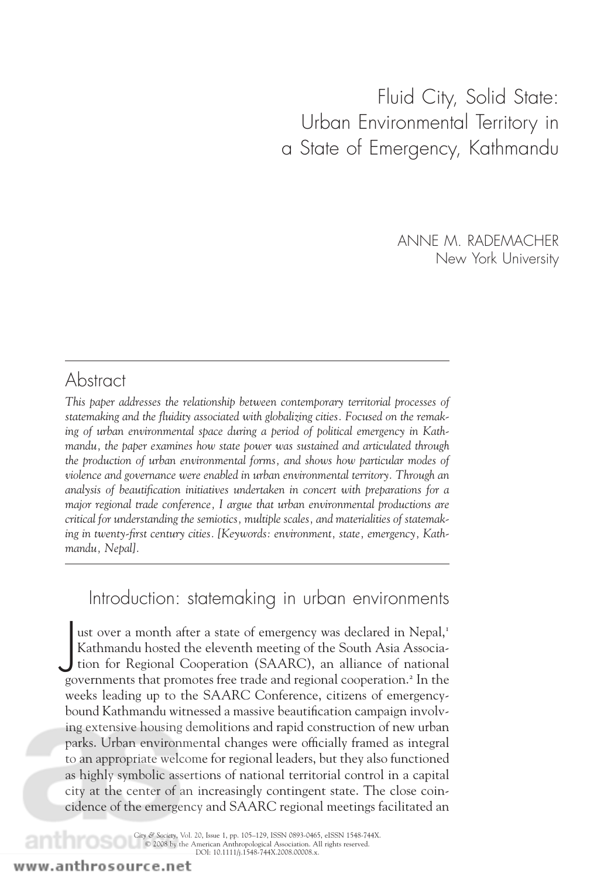Fluid City, Solid State: Urban Environmental Territory in a State of Emergency, Kathmandu

> ANNE M. RADEMACHER New York University

### **Abstract**

*This paper addresses the relationship between contemporary territorial processes of statemaking and the fluidity associated with globalizing cities. Focused on the remaking of urban environmental space during a period of political emergency in Kathmandu, the paper examines how state power was sustained and articulated through the production of urban environmental forms, and shows how particular modes of violence and governance were enabled in urban environmental territory. Through an analysis of beautification initiatives undertaken in concert with preparations for a major regional trade conference, I argue that urban environmental productions are critical for understanding the semiotics, multiple scales, and materialities of statemaking in twenty-first century cities. [Keywords: environment, state, emergency, Kathmandu, Nepal].*

### Introduction: statemaking in urban environments

J ust over a month after a state of emergency was declared in Nepal,<sup>1</sup> Kathmandu hosted the eleventh meeting of the South Asia Association for Regional Cooperation (SAARC), an alliance of national governments that promotes free trade and regional cooperation.<sup>2</sup> In the weeks leading up to the SAARC Conference, citizens of emergencybound Kathmandu witnessed a massive beautification campaign involving extensive housing demolitions and rapid construction of new urban parks. Urban environmental changes were officially framed as integral to an appropriate welcome for regional leaders, but they also functioned as highly symbolic assertions of national territorial control in a capital city at the center of an increasingly contingent state. The close coincidence of the emergency and SAARC regional meetings facilitated an

*City & Society*, Vol. 20, Issue 1, pp. 105–129, ISSN 0893-0465, eISSN 1548-744X. © 2008 by the American Anthropological Association. All rights reserved. DOI: 10.1111/j.1548-744X.2008.00008.x.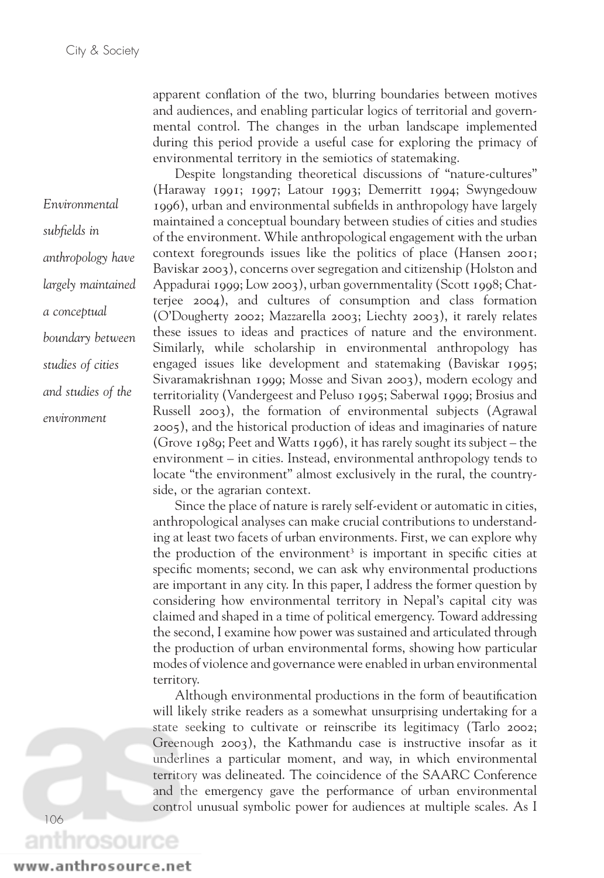apparent conflation of the two, blurring boundaries between motives and audiences, and enabling particular logics of territorial and governmental control. The changes in the urban landscape implemented during this period provide a useful case for exploring the primacy of environmental territory in the semiotics of statemaking.

Despite longstanding theoretical discussions of "nature-cultures" (Haraway 1991; 1997; Latour 1993; Demerritt 1994; Swyngedouw 1996), urban and environmental subfields in anthropology have largely maintained a conceptual boundary between studies of cities and studies of the environment. While anthropological engagement with the urban context foregrounds issues like the politics of place (Hansen 2001; Baviskar 2003), concerns over segregation and citizenship (Holston and Appadurai 1999; Low 2003), urban governmentality (Scott 1998; Chatterjee 2004), and cultures of consumption and class formation (O'Dougherty 2002; Mazzarella 2003; Liechty 2003), it rarely relates these issues to ideas and practices of nature and the environment. Similarly, while scholarship in environmental anthropology has engaged issues like development and statemaking (Baviskar 1995; Sivaramakrishnan 1999; Mosse and Sivan 2003), modern ecology and territoriality (Vandergeest and Peluso 1995; Saberwal 1999; Brosius and Russell 2003), the formation of environmental subjects (Agrawal 2005), and the historical production of ideas and imaginaries of nature (Grove 1989; Peet and Watts 1996), it has rarely sought its subject – the environment – in cities. Instead, environmental anthropology tends to locate "the environment" almost exclusively in the rural, the countryside, or the agrarian context.

Since the place of nature is rarely self-evident or automatic in cities, anthropological analyses can make crucial contributions to understanding at least two facets of urban environments. First, we can explore why the production of the environment<sup>3</sup> is important in specific cities at specific moments; second, we can ask why environmental productions are important in any city. In this paper, I address the former question by considering how environmental territory in Nepal's capital city was claimed and shaped in a time of political emergency. Toward addressing the second, I examine how power was sustained and articulated through the production of urban environmental forms, showing how particular modes of violence and governance were enabled in urban environmental territory.

Although environmental productions in the form of beautification will likely strike readers as a somewhat unsurprising undertaking for a state seeking to cultivate or reinscribe its legitimacy (Tarlo 2002; Greenough 2003), the Kathmandu case is instructive insofar as it underlines a particular moment, and way, in which environmental territory was delineated. The coincidence of the SAARC Conference and the emergency gave the performance of urban environmental control unusual symbolic power for audiences at multiple scales. As I

*Environmental subfields in anthropology have largely maintained a conceptual boundary between studies of cities and studies of the environment*

anthrosource

106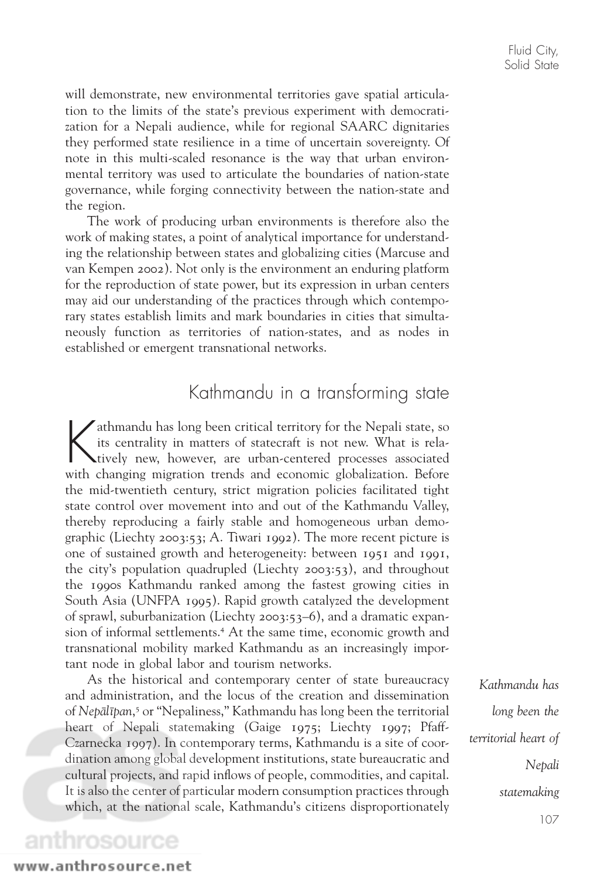will demonstrate, new environmental territories gave spatial articulation to the limits of the state's previous experiment with democratization for a Nepali audience, while for regional SAARC dignitaries they performed state resilience in a time of uncertain sovereignty. Of note in this multi-scaled resonance is the way that urban environmental territory was used to articulate the boundaries of nation-state governance, while forging connectivity between the nation-state and the region.

The work of producing urban environments is therefore also the work of making states, a point of analytical importance for understanding the relationship between states and globalizing cities (Marcuse and van Kempen 2002). Not only is the environment an enduring platform for the reproduction of state power, but its expression in urban centers may aid our understanding of the practices through which contemporary states establish limits and mark boundaries in cities that simultaneously function as territories of nation-states, and as nodes in established or emergent transnational networks.

### Kathmandu in a transforming state

Athmandu has long been critical territory for the Nepali state, so<br>its centrality in matters of statecraft is not new. What is rela-<br>tively new, however, are urban-centered processes associated<br>with changing migration tren its centrality in matters of statecraft is not new. What is relatively new, however, are urban-centered processes associated with changing migration trends and economic globalization. Before the mid-twentieth century, strict migration policies facilitated tight state control over movement into and out of the Kathmandu Valley, thereby reproducing a fairly stable and homogeneous urban demographic (Liechty 2003:53; A. Tiwari 1992). The more recent picture is one of sustained growth and heterogeneity: between 1951 and 1991, the city's population quadrupled (Liechty 2003:53), and throughout the 1990s Kathmandu ranked among the fastest growing cities in South Asia (UNFPA 1995). Rapid growth catalyzed the development of sprawl, suburbanization (Liechty 2003:53–6), and a dramatic expansion of informal settlements.<sup>4</sup> At the same time, economic growth and transnational mobility marked Kathmandu as an increasingly important node in global labor and tourism networks.

As the historical and contemporary center of state bureaucracy and administration, and the locus of the creation and dissemination of *Nepālīpan*,<sup>5</sup> or "Nepaliness," Kathmandu has long been the territorial heart of Nepali statemaking (Gaige 1975; Liechty 1997; Pfaff-Czarnecka 1997). In contemporary terms, Kathmandu is a site of coordination among global development institutions, state bureaucratic and cultural projects, and rapid inflows of people, commodities, and capital. It is also the center of particular modern consumption practices through which, at the national scale, Kathmandu's citizens disproportionately

*Kathmandu has long been the territorial heart of Nepali statemaking*

107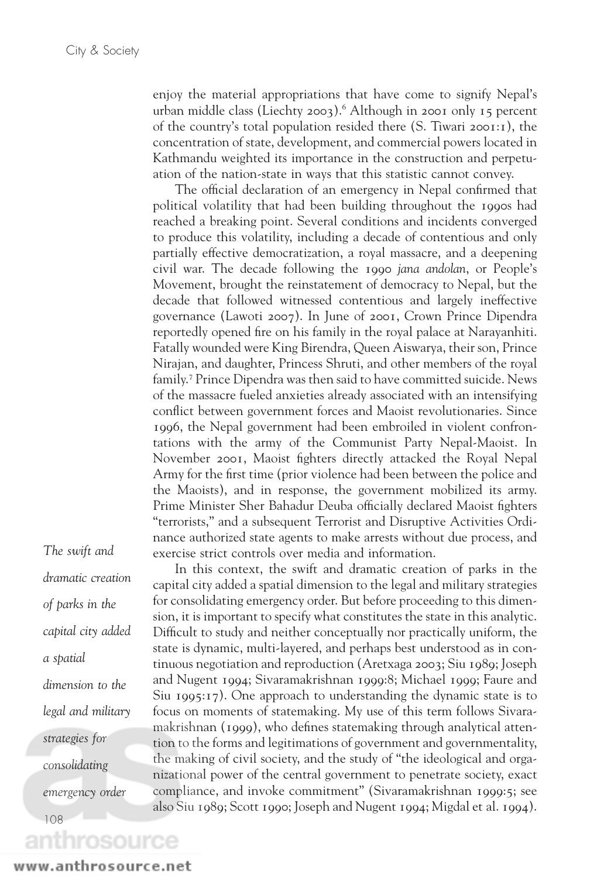enjoy the material appropriations that have come to signify Nepal's urban middle class (Liechty 2003).<sup>6</sup> Although in 2001 only 15 percent of the country's total population resided there (S. Tiwari 2001:1), the concentration of state, development, and commercial powers located in Kathmandu weighted its importance in the construction and perpetuation of the nation-state in ways that this statistic cannot convey.

The official declaration of an emergency in Nepal confirmed that political volatility that had been building throughout the 1990s had reached a breaking point. Several conditions and incidents converged to produce this volatility, including a decade of contentious and only partially effective democratization, a royal massacre, and a deepening civil war. The decade following the 1990 *jana andolan*, or People's Movement, brought the reinstatement of democracy to Nepal, but the decade that followed witnessed contentious and largely ineffective governance (Lawoti 2007). In June of 2001, Crown Prince Dipendra reportedly opened fire on his family in the royal palace at Narayanhiti. Fatally wounded were King Birendra, Queen Aiswarya, their son, Prince Nirajan, and daughter, Princess Shruti, and other members of the royal family.<sup>7</sup> Prince Dipendra was then said to have committed suicide. News of the massacre fueled anxieties already associated with an intensifying conflict between government forces and Maoist revolutionaries. Since 1996, the Nepal government had been embroiled in violent confrontations with the army of the Communist Party Nepal-Maoist. In November 2001, Maoist fighters directly attacked the Royal Nepal Army for the first time (prior violence had been between the police and the Maoists), and in response, the government mobilized its army. Prime Minister Sher Bahadur Deuba officially declared Maoist fighters "terrorists," and a subsequent Terrorist and Disruptive Activities Ordinance authorized state agents to make arrests without due process, and exercise strict controls over media and information.

*The swift and dramatic creation of parks in the capital city added a spatial dimension to the legal and military strategies for consolidating emergency order* 108

In this context, the swift and dramatic creation of parks in the capital city added a spatial dimension to the legal and military strategies for consolidating emergency order. But before proceeding to this dimension, it is important to specify what constitutes the state in this analytic. Difficult to study and neither conceptually nor practically uniform, the state is dynamic, multi-layered, and perhaps best understood as in continuous negotiation and reproduction (Aretxaga 2003; Siu 1989; Joseph and Nugent 1994; Sivaramakrishnan 1999:8; Michael 1999; Faure and Siu 1995:17). One approach to understanding the dynamic state is to focus on moments of statemaking. My use of this term follows Sivaramakrishnan (1999), who defines statemaking through analytical attention to the forms and legitimations of government and governmentality, the making of civil society, and the study of "the ideological and organizational power of the central government to penetrate society, exact compliance, and invoke commitment" (Sivaramakrishnan 1999:5; see also Siu 1989; Scott 1990; Joseph and Nugent 1994; Migdal et al. 1994).

www.anthrosource.net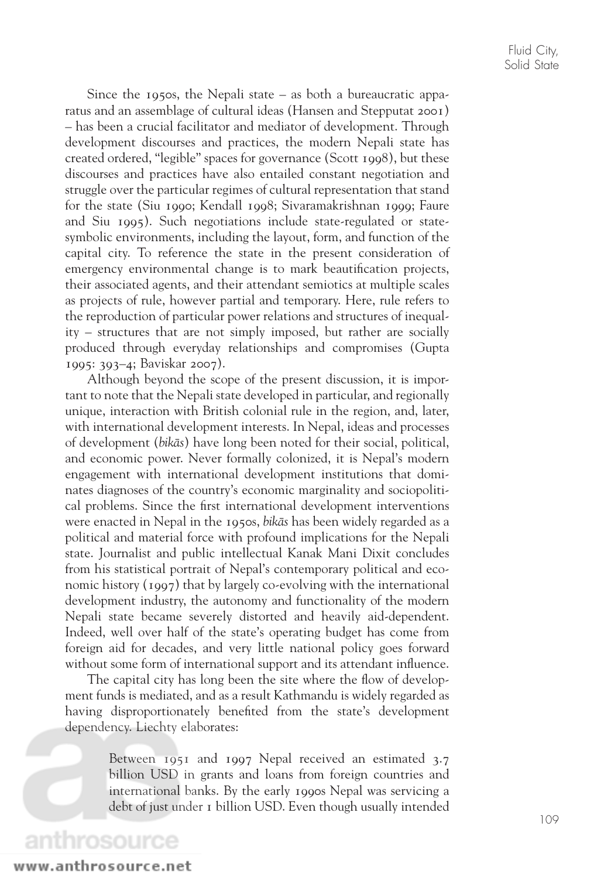Since the 1950s, the Nepali state  $-$  as both a bureaucratic apparatus and an assemblage of cultural ideas (Hansen and Stepputat 2001) – has been a crucial facilitator and mediator of development. Through development discourses and practices, the modern Nepali state has created ordered, "legible" spaces for governance (Scott 1998), but these discourses and practices have also entailed constant negotiation and struggle over the particular regimes of cultural representation that stand for the state (Siu 1990; Kendall 1998; Sivaramakrishnan 1999; Faure and Siu 1995). Such negotiations include state-regulated or statesymbolic environments, including the layout, form, and function of the capital city. To reference the state in the present consideration of emergency environmental change is to mark beautification projects, their associated agents, and their attendant semiotics at multiple scales as projects of rule, however partial and temporary. Here, rule refers to the reproduction of particular power relations and structures of inequality – structures that are not simply imposed, but rather are socially produced through everyday relationships and compromises (Gupta 1995: 393–4; Baviskar 2007).

Although beyond the scope of the present discussion, it is important to note that the Nepali state developed in particular, and regionally unique, interaction with British colonial rule in the region, and, later, with international development interests. In Nepal, ideas and processes of development (*bika¯s*) have long been noted for their social, political, and economic power. Never formally colonized, it is Nepal's modern engagement with international development institutions that dominates diagnoses of the country's economic marginality and sociopolitical problems. Since the first international development interventions were enacted in Nepal in the 1950s, *bikas* has been widely regarded as a political and material force with profound implications for the Nepali state. Journalist and public intellectual Kanak Mani Dixit concludes from his statistical portrait of Nepal's contemporary political and economic history (1997) that by largely co-evolving with the international development industry, the autonomy and functionality of the modern Nepali state became severely distorted and heavily aid-dependent. Indeed, well over half of the state's operating budget has come from foreign aid for decades, and very little national policy goes forward without some form of international support and its attendant influence.

The capital city has long been the site where the flow of development funds is mediated, and as a result Kathmandu is widely regarded as having disproportionately benefited from the state's development dependency. Liechty elaborates:

> Between 1951 and 1997 Nepal received an estimated 3.7 billion USD in grants and loans from foreign countries and international banks. By the early 1990s Nepal was servicing a debt of just under 1 billion USD. Even though usually intended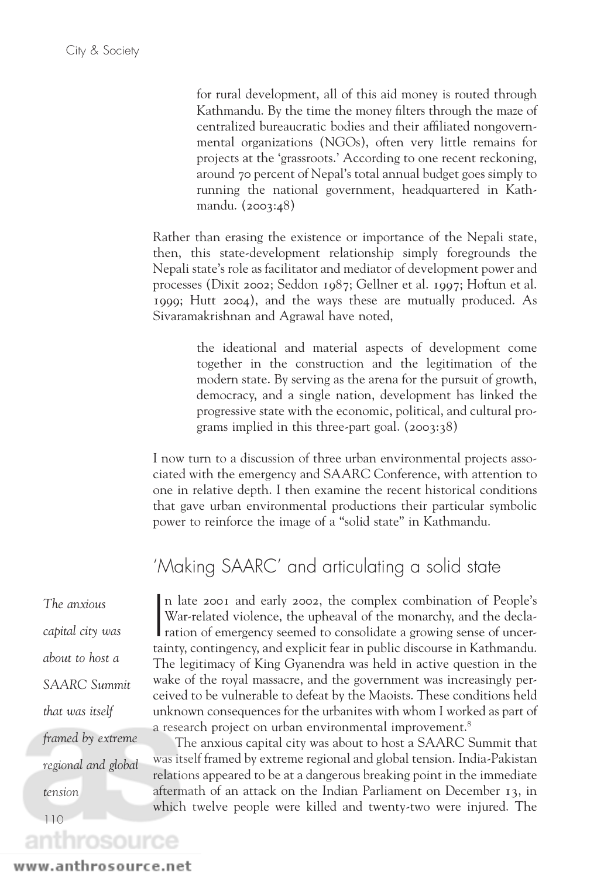for rural development, all of this aid money is routed through Kathmandu. By the time the money filters through the maze of centralized bureaucratic bodies and their affiliated nongovernmental organizations (NGOs), often very little remains for projects at the 'grassroots.' According to one recent reckoning, around 70 percent of Nepal's total annual budget goes simply to running the national government, headquartered in Kathmandu. (2003:48)

Rather than erasing the existence or importance of the Nepali state, then, this state-development relationship simply foregrounds the Nepali state's role as facilitator and mediator of development power and processes (Dixit 2002; Seddon 1987; Gellner et al. 1997; Hoftun et al. 1999; Hutt 2004), and the ways these are mutually produced. As Sivaramakrishnan and Agrawal have noted,

> the ideational and material aspects of development come together in the construction and the legitimation of the modern state. By serving as the arena for the pursuit of growth, democracy, and a single nation, development has linked the progressive state with the economic, political, and cultural programs implied in this three-part goal. (2003:38)

I now turn to a discussion of three urban environmental projects associated with the emergency and SAARC Conference, with attention to one in relative depth. I then examine the recent historical conditions that gave urban environmental productions their particular symbolic power to reinforce the image of a "solid state" in Kathmandu.

## 'Making SAARC' and articulating a solid state

|<br>|<br>ta: n late 2001 and early 2002, the complex combination of People's War-related violence, the upheaval of the monarchy, and the declaration of emergency seemed to consolidate a growing sense of uncertainty, contingency, and explicit fear in public discourse in Kathmandu. The legitimacy of King Gyanendra was held in active question in the wake of the royal massacre, and the government was increasingly perceived to be vulnerable to defeat by the Maoists. These conditions held unknown consequences for the urbanites with whom I worked as part of a research project on urban environmental improvement.<sup>8</sup>

The anxious capital city was about to host a SAARC Summit that was itself framed by extreme regional and global tension. India-Pakistan relations appeared to be at a dangerous breaking point in the immediate aftermath of an attack on the Indian Parliament on December 13, in which twelve people were killed and twenty-two were injured. The

*The anxious capital city was about to host a SAARC Summit that was itself framed by extreme regional and global tension* 110

www.anthrosource.net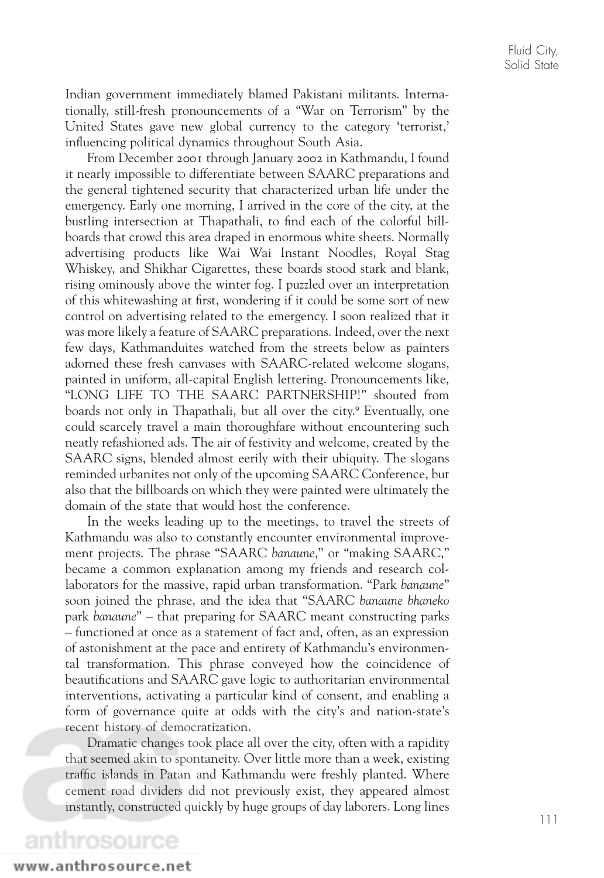Indian government immediately blamed Pakistani militants. Internationally, still-fresh pronouncements of a "War on Terrorism" by the United States gave new global currency to the category 'terrorist,' influencing political dynamics throughout South Asia.

From December 2001 through January 2002 in Kathmandu, I found it nearly impossible to differentiate between SAARC preparations and the general tightened security that characterized urban life under the emergency. Early one morning, I arrived in the core of the city, at the bustling intersection at Thapathali, to find each of the colorful billboards that crowd this area draped in enormous white sheets. Normally advertising products like Wai Wai Instant Noodles, Royal Stag Whiskey, and Shikhar Cigarettes, these boards stood stark and blank, rising ominously above the winter fog. I puzzled over an interpretation of this whitewashing at first, wondering if it could be some sort of new control on advertising related to the emergency. I soon realized that it was more likely a feature of SAARC preparations. Indeed, over the next few days, Kathmanduites watched from the streets below as painters adorned these fresh canvases with SAARC-related welcome slogans, painted in uniform, all-capital English lettering. Pronouncements like, "LONG LIFE TO THE SAARC PARTNERSHIP!" shouted from boards not only in Thapathali, but all over the city.<sup>9</sup> Eventually, one could scarcely travel a main thoroughfare without encountering such neatly refashioned ads. The air of festivity and welcome, created by the SAARC signs, blended almost eerily with their ubiquity. The slogans reminded urbanites not only of the upcoming SAARC Conference, but also that the billboards on which they were painted were ultimately the domain of the state that would host the conference.

In the weeks leading up to the meetings, to travel the streets of Kathmandu was also to constantly encounter environmental improvement projects. The phrase "SAARC *banaune*," or "making SAARC," became a common explanation among my friends and research collaborators for the massive, rapid urban transformation. "Park *banaune*" soon joined the phrase, and the idea that "SAARC *banaune bhaneko* park *banaune*" – that preparing for SAARC meant constructing parks – functioned at once as a statement of fact and, often, as an expression of astonishment at the pace and entirety of Kathmandu's environmental transformation. This phrase conveyed how the coincidence of beautifications and SAARC gave logic to authoritarian environmental interventions, activating a particular kind of consent, and enabling a form of governance quite at odds with the city's and nation-state's recent history of democratization.

Dramatic changes took place all over the city, often with a rapidity that seemed akin to spontaneity. Over little more than a week, existing traffic islands in Patan and Kathmandu were freshly planted. Where cement road dividers did not previously exist, they appeared almost instantly, constructed quickly by huge groups of day laborers. Long lines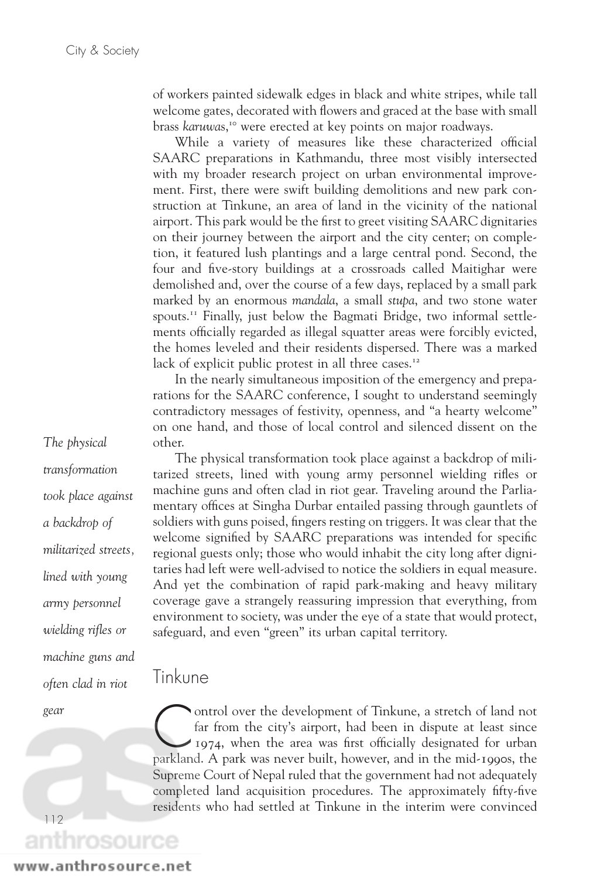of workers painted sidewalk edges in black and white stripes, while tall welcome gates, decorated with flowers and graced at the base with small brass *karuwas*,<sup>10</sup> were erected at key points on major roadways.

While a variety of measures like these characterized official SAARC preparations in Kathmandu, three most visibly intersected with my broader research project on urban environmental improvement. First, there were swift building demolitions and new park construction at Tinkune, an area of land in the vicinity of the national airport. This park would be the first to greet visiting SAARC dignitaries on their journey between the airport and the city center; on completion, it featured lush plantings and a large central pond. Second, the four and five-story buildings at a crossroads called Maitighar were demolished and, over the course of a few days, replaced by a small park marked by an enormous *mandala*, a small *stupa*, and two stone water spouts.<sup>11</sup> Finally, just below the Bagmati Bridge, two informal settlements officially regarded as illegal squatter areas were forcibly evicted, the homes leveled and their residents dispersed. There was a marked lack of explicit public protest in all three cases.<sup>12</sup>

In the nearly simultaneous imposition of the emergency and preparations for the SAARC conference, I sought to understand seemingly contradictory messages of festivity, openness, and "a hearty welcome" on one hand, and those of local control and silenced dissent on the other.

The physical transformation took place against a backdrop of militarized streets, lined with young army personnel wielding rifles or machine guns and often clad in riot gear. Traveling around the Parliamentary offices at Singha Durbar entailed passing through gauntlets of soldiers with guns poised, fingers resting on triggers. It was clear that the welcome signified by SAARC preparations was intended for specific regional guests only; those who would inhabit the city long after dignitaries had left were well-advised to notice the soldiers in equal measure. And yet the combination of rapid park-making and heavy military coverage gave a strangely reassuring impression that everything, from environment to society, was under the eye of a state that would protect, safeguard, and even "green" its urban capital territory.

Tinkune

Control over the development of Tinkune, a stretch of land not<br>far from the city's airport, had been in dispute at least since<br>1974, when the area was first officially designated for urban<br>parkland. A park was pever built far from the city's airport, had been in dispute at least since 1974, when the area was first officially designated for urban parkland. A park was never built, however, and in the mid-1990s, the Supreme Court of Nepal ruled that the government had not adequately completed land acquisition procedures. The approximately fifty-five residents who had settled at Tinkune in the interim were convinced

*The physical transformation took place against a backdrop of militarized streets, lined with young army personnel wielding rifles or machine guns and often clad in riot*

*gear*

112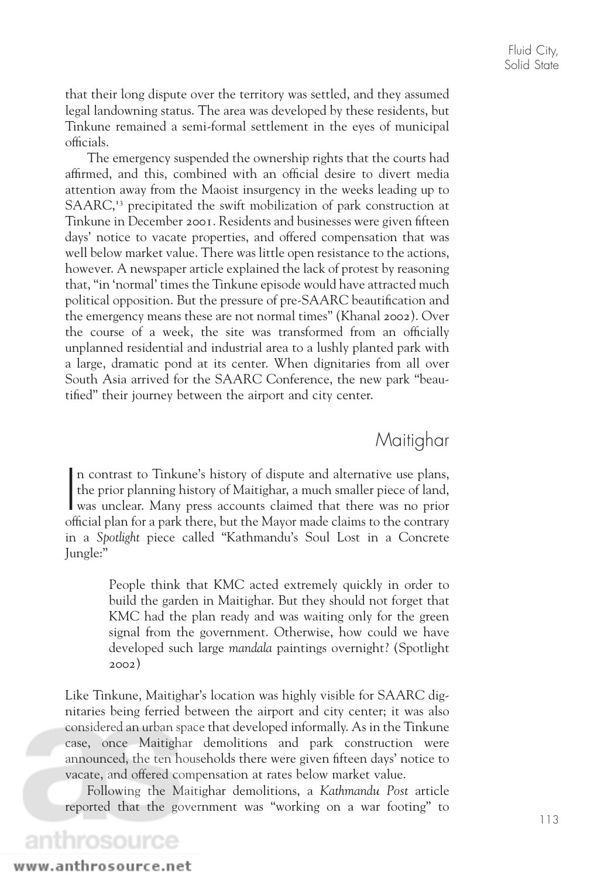that their long dispute over the territory was settled, and they assumed legal landowning status. The area was developed by these residents, but Tinkune remained a semi-formal settlement in the eyes of municipal officials.

The emergency suspended the ownership rights that the courts had affirmed, and this, combined with an official desire to divert media attention away from the Maoist insurgency in the weeks leading up to SAARC,<sup>13</sup> precipitated the swift mobilization of park construction at Tinkune in December 2001. Residents and businesses were given fifteen days' notice to vacate properties, and offered compensation that was well below market value. There was little open resistance to the actions, however. A newspaper article explained the lack of protest by reasoning that, "in 'normal' times the Tinkune episode would have attracted much political opposition. But the pressure of pre-SAARC beautification and the emergency means these are not normal times" (Khanal 2002). Over the course of a week, the site was transformed from an officially unplanned residential and industrial area to a lushly planted park with a large, dramatic pond at its center. When dignitaries from all over South Asia arrived for the SAARC Conference, the new park "beautified" their journey between the airport and city center.

### Maitighar

 $\frac{1}{2}$ n contrast to Tinkune's history of dispute and alternative use plans, the prior planning history of Maitighar, a much smaller piece of land, was unclear. Many press accounts claimed that there was no prior official plan for a park there, but the Mayor made claims to the contrary in a *Spotlight* piece called "Kathmandu's Soul Lost in a Concrete Jungle:"

> People think that KMC acted extremely quickly in order to build the garden in Maitighar. But they should not forget that KMC had the plan ready and was waiting only for the green signal from the government. Otherwise, how could we have developed such large *mandala* paintings overnight? (Spotlight 2002)

Like Tinkune, Maitighar's location was highly visible for SAARC dignitaries being ferried between the airport and city center; it was also considered an urban space that developed informally. As in the Tinkune case, once Maitighar demolitions and park construction were announced, the ten households there were given fifteen days' notice to vacate, and offered compensation at rates below market value.

Following the Maitighar demolitions, a *Kathmandu Post* article reported that the government was "working on a war footing" to

## anthrosource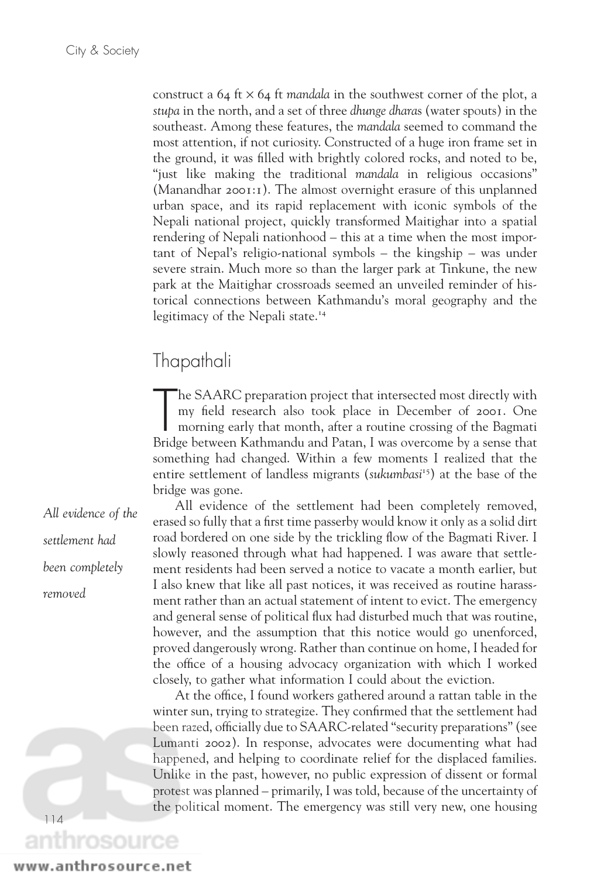construct a  $64$  ft  $\times$  64 ft *mandala* in the southwest corner of the plot, a *stupa* in the north, and a set of three *dhunge dhara*s (water spouts) in the southeast. Among these features, the *mandala* seemed to command the most attention, if not curiosity. Constructed of a huge iron frame set in the ground, it was filled with brightly colored rocks, and noted to be, "just like making the traditional *mandala* in religious occasions" (Manandhar 2001:1). The almost overnight erasure of this unplanned urban space, and its rapid replacement with iconic symbols of the Nepali national project, quickly transformed Maitighar into a spatial rendering of Nepali nationhood – this at a time when the most important of Nepal's religio-national symbols – the kingship – was under severe strain. Much more so than the larger park at Tinkune, the new park at the Maitighar crossroads seemed an unveiled reminder of historical connections between Kathmandu's moral geography and the legitimacy of the Nepali state.<sup>14</sup>

### **Thapathali**

The SAARC preparation project that intersected most directly with my field research also took place in December of 2001. One morning early that month, after a routine crossing of the Bagmati Bridge between Kathmandu and Pa he SAARC preparation project that intersected most directly with my field research also took place in December of 2001. One morning early that month, after a routine crossing of the Bagmati something had changed. Within a few moments I realized that the entire settlement of landless migrants (*sukumbasi*<sup>15</sup>) at the base of the bridge was gone.

All evidence of the settlement had been completely removed, erased so fully that a first time passerby would know it only as a solid dirt road bordered on one side by the trickling flow of the Bagmati River. I slowly reasoned through what had happened. I was aware that settlement residents had been served a notice to vacate a month earlier, but I also knew that like all past notices, it was received as routine harassment rather than an actual statement of intent to evict. The emergency and general sense of political flux had disturbed much that was routine, however, and the assumption that this notice would go unenforced, proved dangerously wrong. Rather than continue on home, I headed for the office of a housing advocacy organization with which I worked closely, to gather what information I could about the eviction.

At the office, I found workers gathered around a rattan table in the winter sun, trying to strategize. They confirmed that the settlement had been razed, officially due to SAARC-related "security preparations" (see Lumanti 2002). In response, advocates were documenting what had happened, and helping to coordinate relief for the displaced families. Unlike in the past, however, no public expression of dissent or formal protest was planned – primarily, I was told, because of the uncertainty of the political moment. The emergency was still very new, one housing

*All evidence of the settlement had been completely removed*



ìrosource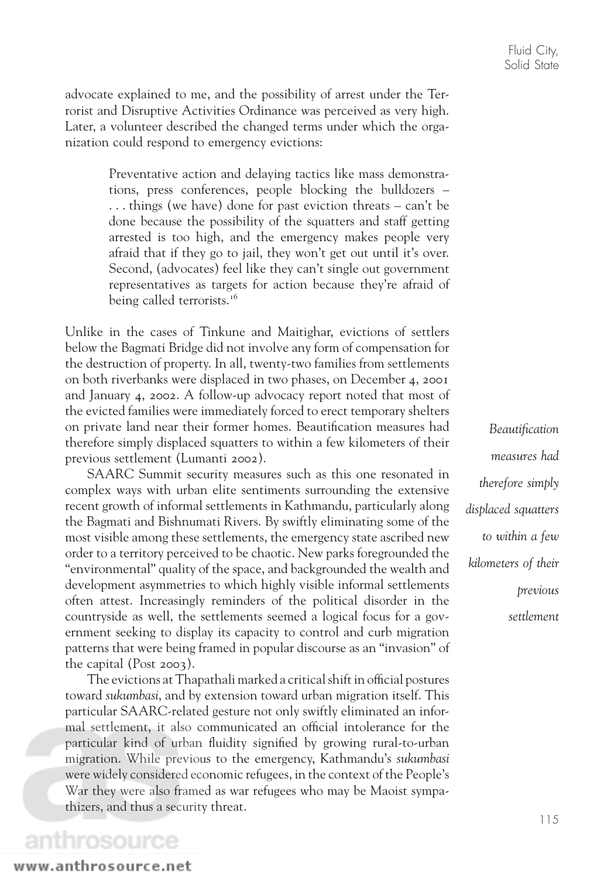advocate explained to me, and the possibility of arrest under the Terrorist and Disruptive Activities Ordinance was perceived as very high. Later, a volunteer described the changed terms under which the organization could respond to emergency evictions:

> Preventative action and delaying tactics like mass demonstrations, press conferences, people blocking the bulldozers – . . . things (we have) done for past eviction threats – can't be done because the possibility of the squatters and staff getting arrested is too high, and the emergency makes people very afraid that if they go to jail, they won't get out until it's over. Second, (advocates) feel like they can't single out government representatives as targets for action because they're afraid of being called terrorists.<sup>16</sup>

Unlike in the cases of Tinkune and Maitighar, evictions of settlers below the Bagmati Bridge did not involve any form of compensation for the destruction of property. In all, twenty-two families from settlements on both riverbanks were displaced in two phases, on December 4, 2001 and January 4, 2002. A follow-up advocacy report noted that most of the evicted families were immediately forced to erect temporary shelters on private land near their former homes. Beautification measures had therefore simply displaced squatters to within a few kilometers of their previous settlement (Lumanti 2002).

SAARC Summit security measures such as this one resonated in complex ways with urban elite sentiments surrounding the extensive recent growth of informal settlements in Kathmandu, particularly along the Bagmati and Bishnumati Rivers. By swiftly eliminating some of the most visible among these settlements, the emergency state ascribed new order to a territory perceived to be chaotic. New parks foregrounded the "environmental" quality of the space, and backgrounded the wealth and development asymmetries to which highly visible informal settlements often attest. Increasingly reminders of the political disorder in the countryside as well, the settlements seemed a logical focus for a government seeking to display its capacity to control and curb migration patterns that were being framed in popular discourse as an "invasion" of the capital (Post 2003).

The evictions at Thapathali marked a critical shift in official postures toward *sukumbasi*, and by extension toward urban migration itself. This particular SAARC-related gesture not only swiftly eliminated an informal settlement, it also communicated an official intolerance for the particular kind of urban fluidity signified by growing rural-to-urban migration. While previous to the emergency, Kathmandu's *sukumbasi* were widely considered economic refugees, in the context of the People's War they were also framed as war refugees who may be Maoist sympathizers, and thus a security threat.

anthrosource

*Beautification measures had therefore simply displaced squatters to within a few kilometers of their previous settlement*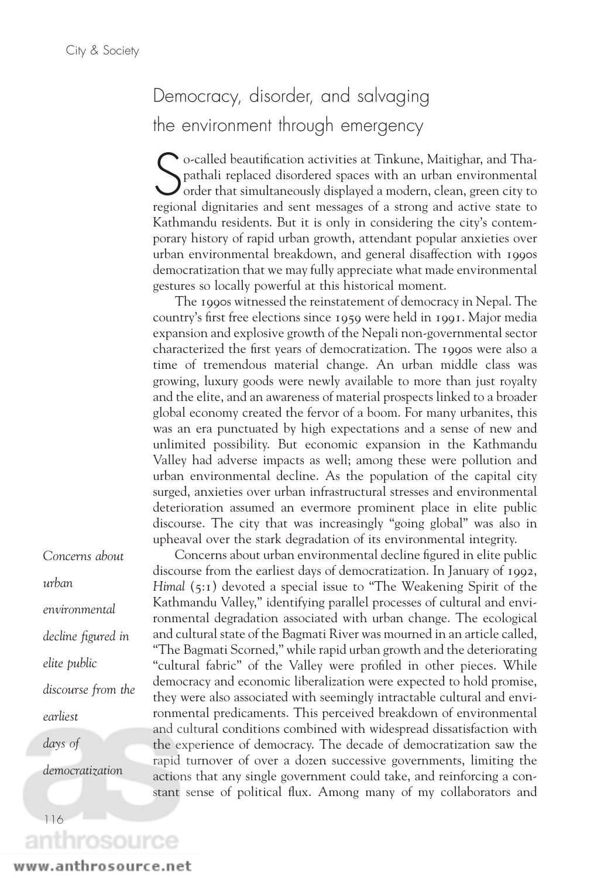# Democracy, disorder, and salvaging the environment through emergency

So-called beautification activities at Tinkune, Maitighar, and Tha-<br>
pathali replaced disordered spaces with an urban environmental<br>
order that simultaneously displayed a modern, clean, green city to<br>
regional dignitaries pathali replaced disordered spaces with an urban environmental order that simultaneously displayed a modern, clean, green city to regional dignitaries and sent messages of a strong and active state to Kathmandu residents. But it is only in considering the city's contemporary history of rapid urban growth, attendant popular anxieties over urban environmental breakdown, and general disaffection with 1990s democratization that we may fully appreciate what made environmental gestures so locally powerful at this historical moment.

The 1990s witnessed the reinstatement of democracy in Nepal. The country's first free elections since 1959 were held in 1991. Major media expansion and explosive growth of the Nepali non-governmental sector characterized the first years of democratization. The 1990s were also a time of tremendous material change. An urban middle class was growing, luxury goods were newly available to more than just royalty and the elite, and an awareness of material prospects linked to a broader global economy created the fervor of a boom. For many urbanites, this was an era punctuated by high expectations and a sense of new and unlimited possibility. But economic expansion in the Kathmandu Valley had adverse impacts as well; among these were pollution and urban environmental decline. As the population of the capital city surged, anxieties over urban infrastructural stresses and environmental deterioration assumed an evermore prominent place in elite public discourse. The city that was increasingly "going global" was also in upheaval over the stark degradation of its environmental integrity.

Concerns about urban environmental decline figured in elite public discourse from the earliest days of democratization. In January of 1992, *Himal* (5:1) devoted a special issue to "The Weakening Spirit of the Kathmandu Valley," identifying parallel processes of cultural and environmental degradation associated with urban change. The ecological and cultural state of the Bagmati River was mourned in an article called, "The Bagmati Scorned," while rapid urban growth and the deteriorating "cultural fabric" of the Valley were profiled in other pieces. While democracy and economic liberalization were expected to hold promise, they were also associated with seemingly intractable cultural and environmental predicaments. This perceived breakdown of environmental and cultural conditions combined with widespread dissatisfaction with the experience of democracy. The decade of democratization saw the rapid turnover of over a dozen successive governments, limiting the actions that any single government could take, and reinforcing a constant sense of political flux. Among many of my collaborators and

*Concerns about*

*urban*

*environmental*

*decline figured in*

*elite public*

*discourse from the*

*earliest*

*days of*

*democratization*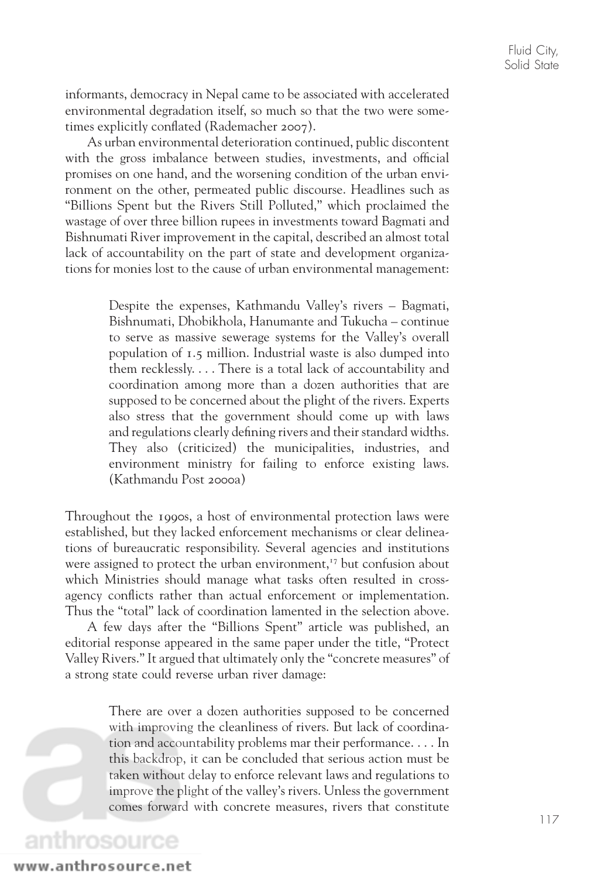informants, democracy in Nepal came to be associated with accelerated environmental degradation itself, so much so that the two were sometimes explicitly conflated (Rademacher 2007).

As urban environmental deterioration continued, public discontent with the gross imbalance between studies, investments, and official promises on one hand, and the worsening condition of the urban environment on the other, permeated public discourse. Headlines such as "Billions Spent but the Rivers Still Polluted," which proclaimed the wastage of over three billion rupees in investments toward Bagmati and Bishnumati River improvement in the capital, described an almost total lack of accountability on the part of state and development organizations for monies lost to the cause of urban environmental management:

> Despite the expenses, Kathmandu Valley's rivers – Bagmati, Bishnumati, Dhobikhola, Hanumante and Tukucha – continue to serve as massive sewerage systems for the Valley's overall population of 1.5 million. Industrial waste is also dumped into them recklessly.... There is a total lack of accountability and coordination among more than a dozen authorities that are supposed to be concerned about the plight of the rivers. Experts also stress that the government should come up with laws and regulations clearly defining rivers and their standard widths. They also (criticized) the municipalities, industries, and environment ministry for failing to enforce existing laws. (Kathmandu Post 2000a)

Throughout the 1990s, a host of environmental protection laws were established, but they lacked enforcement mechanisms or clear delineations of bureaucratic responsibility. Several agencies and institutions were assigned to protect the urban environment,<sup>17</sup> but confusion about which Ministries should manage what tasks often resulted in crossagency conflicts rather than actual enforcement or implementation. Thus the "total" lack of coordination lamented in the selection above.

A few days after the "Billions Spent" article was published, an editorial response appeared in the same paper under the title, "Protect Valley Rivers." It argued that ultimately only the "concrete measures" of a strong state could reverse urban river damage:

> There are over a dozen authorities supposed to be concerned with improving the cleanliness of rivers. But lack of coordination and accountability problems mar their performance. . . . In this backdrop, it can be concluded that serious action must be taken without delay to enforce relevant laws and regulations to improve the plight of the valley's rivers. Unless the government comes forward with concrete measures, rivers that constitute

www.anthrosource.net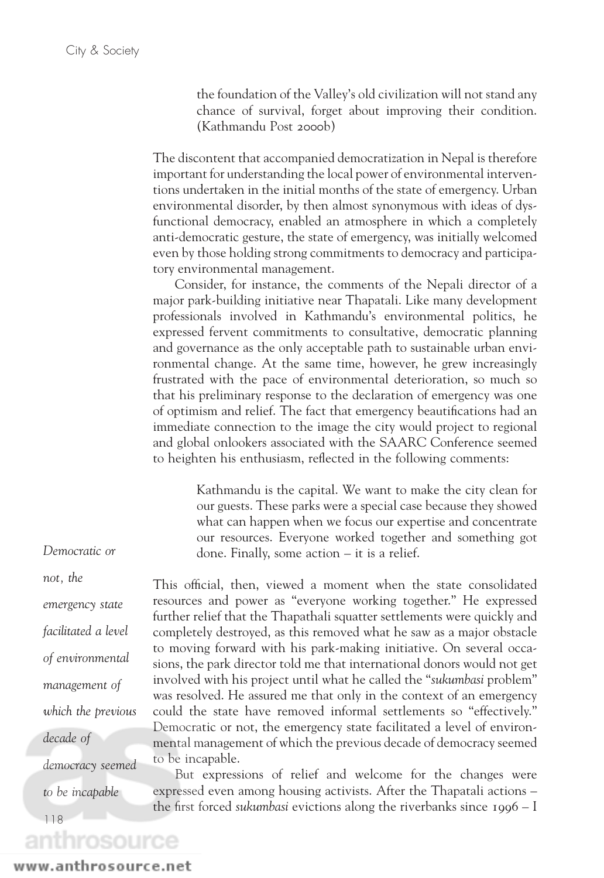the foundation of the Valley's old civilization will not stand any chance of survival, forget about improving their condition. (Kathmandu Post 2000b)

The discontent that accompanied democratization in Nepal is therefore important for understanding the local power of environmental interventions undertaken in the initial months of the state of emergency. Urban environmental disorder, by then almost synonymous with ideas of dysfunctional democracy, enabled an atmosphere in which a completely anti-democratic gesture, the state of emergency, was initially welcomed even by those holding strong commitments to democracy and participatory environmental management.

Consider, for instance, the comments of the Nepali director of a major park-building initiative near Thapatali. Like many development professionals involved in Kathmandu's environmental politics, he expressed fervent commitments to consultative, democratic planning and governance as the only acceptable path to sustainable urban environmental change. At the same time, however, he grew increasingly frustrated with the pace of environmental deterioration, so much so that his preliminary response to the declaration of emergency was one of optimism and relief. The fact that emergency beautifications had an immediate connection to the image the city would project to regional and global onlookers associated with the SAARC Conference seemed to heighten his enthusiasm, reflected in the following comments:

> Kathmandu is the capital. We want to make the city clean for our guests. These parks were a special case because they showed what can happen when we focus our expertise and concentrate our resources. Everyone worked together and something got done. Finally, some action – it is a relief.

*Democratic or*

*not, the*

*emergency state*

*facilitated a level*

*of environmental*

*management of*

*which the previous*

*decade of*

*democracy seemed*

*to be incapable*

118anthrosource

This official, then, viewed a moment when the state consolidated resources and power as "everyone working together." He expressed further relief that the Thapathali squatter settlements were quickly and completely destroyed, as this removed what he saw as a major obstacle to moving forward with his park-making initiative. On several occasions, the park director told me that international donors would not get involved with his project until what he called the "*sukumbasi* problem" was resolved. He assured me that only in the context of an emergency could the state have removed informal settlements so "effectively." Democratic or not, the emergency state facilitated a level of environmental management of which the previous decade of democracy seemed to be incapable.

But expressions of relief and welcome for the changes were expressed even among housing activists. After the Thapatali actions – the first forced *sukumbasi* evictions along the riverbanks since 1996 – I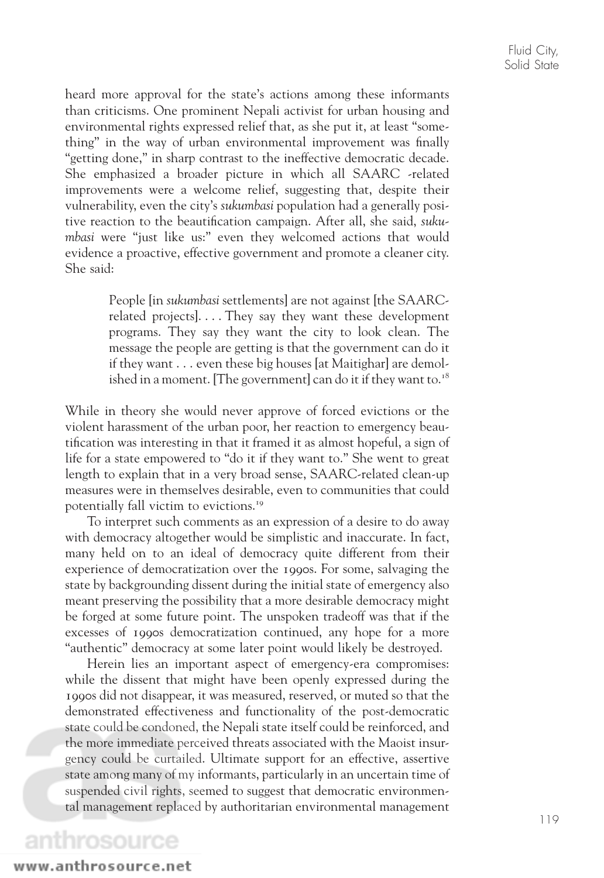heard more approval for the state's actions among these informants than criticisms. One prominent Nepali activist for urban housing and environmental rights expressed relief that, as she put it, at least "something" in the way of urban environmental improvement was finally "getting done," in sharp contrast to the ineffective democratic decade. She emphasized a broader picture in which all SAARC -related improvements were a welcome relief, suggesting that, despite their vulnerability, even the city's *sukumbasi* population had a generally positive reaction to the beautification campaign. After all, she said, *sukumbasi* were "just like us:" even they welcomed actions that would evidence a proactive, effective government and promote a cleaner city. She said:

> People [in *sukumbasi* settlements] are not against [the SAARCrelated projects].... They say they want these development programs. They say they want the city to look clean. The message the people are getting is that the government can do it if they want... even these big houses [at Maitighar] are demolished in a moment. [The government] can do it if they want to.<sup>18</sup>

While in theory she would never approve of forced evictions or the violent harassment of the urban poor, her reaction to emergency beautification was interesting in that it framed it as almost hopeful, a sign of life for a state empowered to "do it if they want to." She went to great length to explain that in a very broad sense, SAARC-related clean-up measures were in themselves desirable, even to communities that could potentially fall victim to evictions.<sup>19</sup>

To interpret such comments as an expression of a desire to do away with democracy altogether would be simplistic and inaccurate. In fact, many held on to an ideal of democracy quite different from their experience of democratization over the 1990s. For some, salvaging the state by backgrounding dissent during the initial state of emergency also meant preserving the possibility that a more desirable democracy might be forged at some future point. The unspoken tradeoff was that if the excesses of 1990s democratization continued, any hope for a more "authentic" democracy at some later point would likely be destroyed.

Herein lies an important aspect of emergency-era compromises: while the dissent that might have been openly expressed during the 1990s did not disappear, it was measured, reserved, or muted so that the demonstrated effectiveness and functionality of the post-democratic state could be condoned, the Nepali state itself could be reinforced, and the more immediate perceived threats associated with the Maoist insurgency could be curtailed. Ultimate support for an effective, assertive state among many of my informants, particularly in an uncertain time of suspended civil rights, seemed to suggest that democratic environmental management replaced by authoritarian environmental management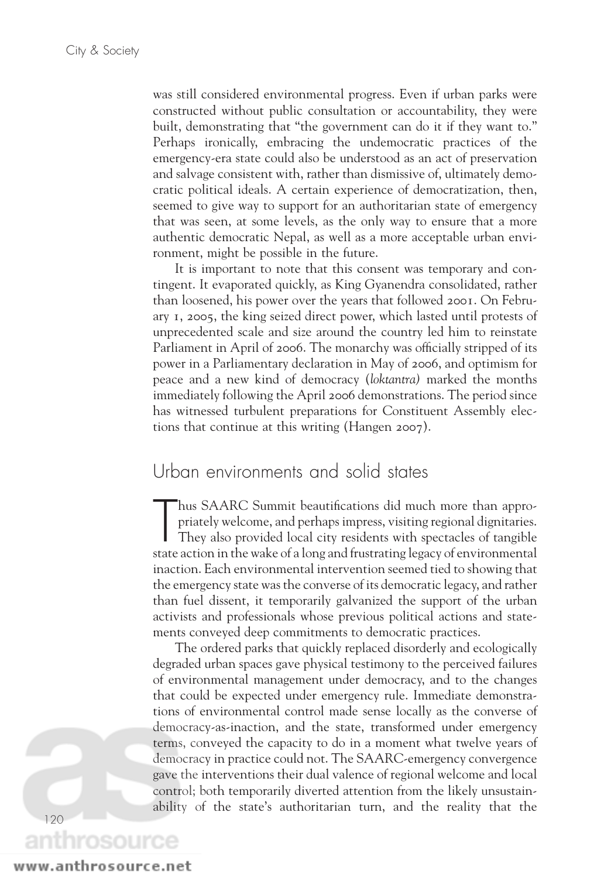was still considered environmental progress. Even if urban parks were constructed without public consultation or accountability, they were built, demonstrating that "the government can do it if they want to." Perhaps ironically, embracing the undemocratic practices of the emergency-era state could also be understood as an act of preservation and salvage consistent with, rather than dismissive of, ultimately democratic political ideals. A certain experience of democratization, then, seemed to give way to support for an authoritarian state of emergency that was seen, at some levels, as the only way to ensure that a more authentic democratic Nepal, as well as a more acceptable urban environment, might be possible in the future.

It is important to note that this consent was temporary and contingent. It evaporated quickly, as King Gyanendra consolidated, rather than loosened, his power over the years that followed 2001. On February 1, 2005, the king seized direct power, which lasted until protests of unprecedented scale and size around the country led him to reinstate Parliament in April of 2006. The monarchy was officially stripped of its power in a Parliamentary declaration in May of 2006, and optimism for peace and a new kind of democracy (*loktantra)* marked the months immediately following the April 2006 demonstrations. The period since has witnessed turbulent preparations for Constituent Assembly elections that continue at this writing (Hangen 2007).

### Urban environments and solid states

Thus SAARC Summit beautifications did much more than appropriately welcome, and perhaps impress, visiting regional dignitaries.<br>They also provided local city residents with spectacles of tangible state action in the wake o hus SAARC Summit beautifications did much more than appropriately welcome, and perhaps impress, visiting regional dignitaries. They also provided local city residents with spectacles of tangible inaction. Each environmental intervention seemed tied to showing that the emergency state was the converse of its democratic legacy, and rather than fuel dissent, it temporarily galvanized the support of the urban activists and professionals whose previous political actions and statements conveyed deep commitments to democratic practices.

The ordered parks that quickly replaced disorderly and ecologically degraded urban spaces gave physical testimony to the perceived failures of environmental management under democracy, and to the changes that could be expected under emergency rule. Immediate demonstrations of environmental control made sense locally as the converse of democracy-as-inaction, and the state, transformed under emergency terms, conveyed the capacity to do in a moment what twelve years of democracy in practice could not. The SAARC-emergency convergence gave the interventions their dual valence of regional welcome and local control; both temporarily diverted attention from the likely unsustainability of the state's authoritarian turn, and the reality that the

anthrosource

120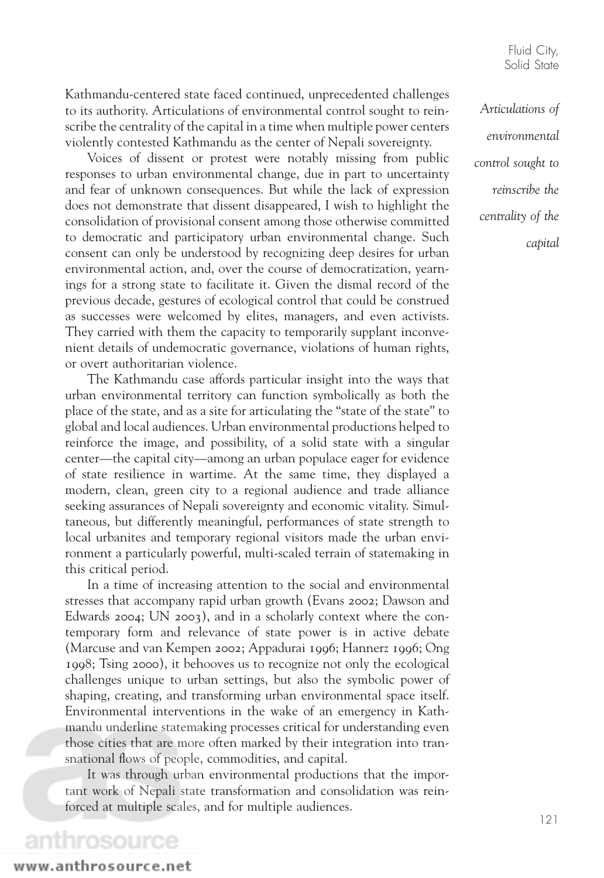Fluid City, Solid State

Kathmandu-centered state faced continued, unprecedented challenges to its authority. Articulations of environmental control sought to reinscribe the centrality of the capital in a time when multiple power centers violently contested Kathmandu as the center of Nepali sovereignty.

Voices of dissent or protest were notably missing from public responses to urban environmental change, due in part to uncertainty and fear of unknown consequences. But while the lack of expression does not demonstrate that dissent disappeared, I wish to highlight the consolidation of provisional consent among those otherwise committed to democratic and participatory urban environmental change. Such consent can only be understood by recognizing deep desires for urban environmental action, and, over the course of democratization, yearnings for a strong state to facilitate it. Given the dismal record of the previous decade, gestures of ecological control that could be construed as successes were welcomed by elites, managers, and even activists. They carried with them the capacity to temporarily supplant inconvenient details of undemocratic governance, violations of human rights, or overt authoritarian violence.

The Kathmandu case affords particular insight into the ways that urban environmental territory can function symbolically as both the place of the state, and as a site for articulating the "state of the state" to global and local audiences. Urban environmental productions helped to reinforce the image, and possibility, of a solid state with a singular center—the capital city—among an urban populace eager for evidence of state resilience in wartime. At the same time, they displayed a modern, clean, green city to a regional audience and trade alliance seeking assurances of Nepali sovereignty and economic vitality. Simultaneous, but differently meaningful, performances of state strength to local urbanites and temporary regional visitors made the urban environment a particularly powerful, multi-scaled terrain of statemaking in this critical period.

In a time of increasing attention to the social and environmental stresses that accompany rapid urban growth (Evans 2002; Dawson and Edwards 2004; UN 2003), and in a scholarly context where the contemporary form and relevance of state power is in active debate (Marcuse and van Kempen 2002; Appadurai 1996; Hannerz 1996; Ong 1998; Tsing 2000), it behooves us to recognize not only the ecological challenges unique to urban settings, but also the symbolic power of shaping, creating, and transforming urban environmental space itself. Environmental interventions in the wake of an emergency in Kathmandu underline statemaking processes critical for understanding even those cities that are more often marked by their integration into transnational flows of people, commodities, and capital.

It was through urban environmental productions that the important work of Nepali state transformation and consolidation was reinforced at multiple scales, and for multiple audiences.

anthrosource www.anthrosource.net

*Articulations of environmental control sought to reinscribe the centrality of the capital*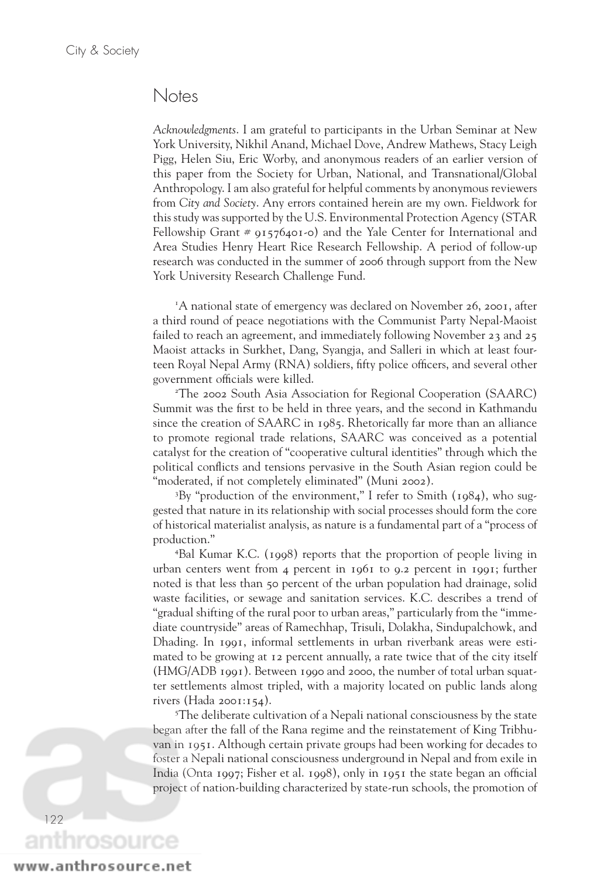### **Notes**

*Acknowledgments*. I am grateful to participants in the Urban Seminar at New York University, Nikhil Anand, Michael Dove, Andrew Mathews, Stacy Leigh Pigg, Helen Siu, Eric Worby, and anonymous readers of an earlier version of this paper from the Society for Urban, National, and Transnational/Global Anthropology. I am also grateful for helpful comments by anonymous reviewers from *City and Society*. Any errors contained herein are my own. Fieldwork for this study was supported by the U.S. Environmental Protection Agency (STAR Fellowship Grant  $#$  91576401-0) and the Yale Center for International and Area Studies Henry Heart Rice Research Fellowship. A period of follow-up research was conducted in the summer of 2006 through support from the New York University Research Challenge Fund.

<sup>1</sup>A national state of emergency was declared on November 26, 2001, after a third round of peace negotiations with the Communist Party Nepal-Maoist failed to reach an agreement, and immediately following November 23 and 25 Maoist attacks in Surkhet, Dang, Syangja, and Salleri in which at least fourteen Royal Nepal Army (RNA) soldiers, fifty police officers, and several other government officials were killed.

2 The 2002 South Asia Association for Regional Cooperation (SAARC) Summit was the first to be held in three years, and the second in Kathmandu since the creation of SAARC in 1985. Rhetorically far more than an alliance to promote regional trade relations, SAARC was conceived as a potential catalyst for the creation of "cooperative cultural identities" through which the political conflicts and tensions pervasive in the South Asian region could be "moderated, if not completely eliminated" (Muni 2002).

<sup>3</sup>By "production of the environment," I refer to Smith (1984), who suggested that nature in its relationship with social processes should form the core of historical materialist analysis, as nature is a fundamental part of a "process of production."

4 Bal Kumar K.C. (1998) reports that the proportion of people living in urban centers went from 4 percent in 1961 to 9.2 percent in 1991; further noted is that less than 50 percent of the urban population had drainage, solid waste facilities, or sewage and sanitation services. K.C. describes a trend of "gradual shifting of the rural poor to urban areas," particularly from the "immediate countryside" areas of Ramechhap, Trisuli, Dolakha, Sindupalchowk, and Dhading. In 1991, informal settlements in urban riverbank areas were estimated to be growing at 12 percent annually, a rate twice that of the city itself (HMG/ADB 1991). Between 1990 and 2000, the number of total urban squatter settlements almost tripled, with a majority located on public lands along rivers (Hada 2001:154).

<sup>5</sup>The deliberate cultivation of a Nepali national consciousness by the state began after the fall of the Rana regime and the reinstatement of King Tribhuvan in 1951. Although certain private groups had been working for decades to foster a Nepali national consciousness underground in Nepal and from exile in India (Onta 1997; Fisher et al. 1998), only in 1951 the state began an official project of nation-building characterized by state-run schools, the promotion of

www.anthrosource.net

anthrosource

122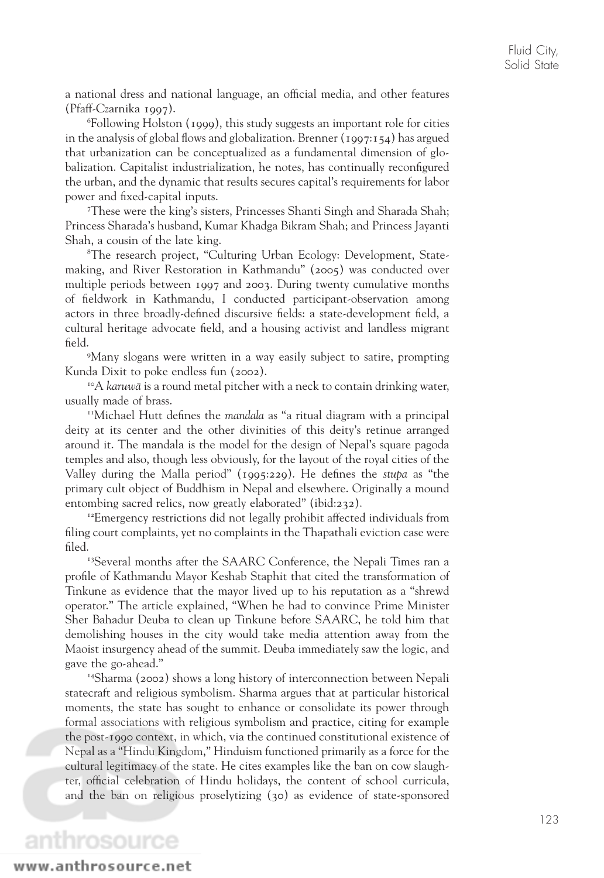a national dress and national language, an official media, and other features (Pfaff-Czarnika 1997).

6 Following Holston (1999), this study suggests an important role for cities in the analysis of global flows and globalization. Brenner (1997:154) has argued that urbanization can be conceptualized as a fundamental dimension of globalization. Capitalist industrialization, he notes, has continually reconfigured the urban, and the dynamic that results secures capital's requirements for labor power and fixed-capital inputs.

7 These were the king's sisters, Princesses Shanti Singh and Sharada Shah; Princess Sharada's husband, Kumar Khadga Bikram Shah; and Princess Jayanti Shah, a cousin of the late king.

8 The research project, "Culturing Urban Ecology: Development, Statemaking, and River Restoration in Kathmandu" (2005) was conducted over multiple periods between 1997 and 2003. During twenty cumulative months of fieldwork in Kathmandu, I conducted participant-observation among actors in three broadly-defined discursive fields: a state-development field, a cultural heritage advocate field, and a housing activist and landless migrant field.

9 Many slogans were written in a way easily subject to satire, prompting Kunda Dixit to poke endless fun (2002).

<sup>10</sup>A *karuwā* is a round metal pitcher with a neck to contain drinking water, usually made of brass.

<sup>11</sup>Michael Hutt defines the *mandala* as "a ritual diagram with a principal deity at its center and the other divinities of this deity's retinue arranged around it. The mandala is the model for the design of Nepal's square pagoda temples and also, though less obviously, for the layout of the royal cities of the Valley during the Malla period" (1995:229). He defines the *stupa* as "the primary cult object of Buddhism in Nepal and elsewhere. Originally a mound entombing sacred relics, now greatly elaborated" (ibid:232).

<sup>12</sup>Emergency restrictions did not legally prohibit affected individuals from filing court complaints, yet no complaints in the Thapathali eviction case were filed.

<sup>13</sup>Several months after the SAARC Conference, the Nepali Times ran a profile of Kathmandu Mayor Keshab Staphit that cited the transformation of Tinkune as evidence that the mayor lived up to his reputation as a "shrewd operator." The article explained, "When he had to convince Prime Minister Sher Bahadur Deuba to clean up Tinkune before SAARC, he told him that demolishing houses in the city would take media attention away from the Maoist insurgency ahead of the summit. Deuba immediately saw the logic, and gave the go-ahead."

<sup>14</sup>Sharma (2002) shows a long history of interconnection between Nepali statecraft and religious symbolism. Sharma argues that at particular historical moments, the state has sought to enhance or consolidate its power through formal associations with religious symbolism and practice, citing for example the post-1990 context, in which, via the continued constitutional existence of Nepal as a "Hindu Kingdom," Hinduism functioned primarily as a force for the cultural legitimacy of the state. He cites examples like the ban on cow slaughter, official celebration of Hindu holidays, the content of school curricula, and the ban on religious proselytizing (30) as evidence of state-sponsored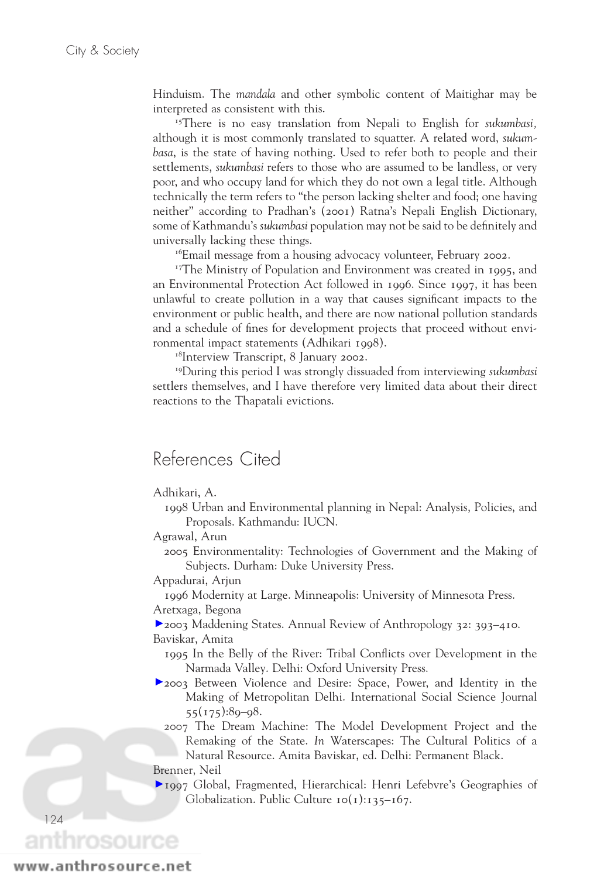Hinduism. The *mandala* and other symbolic content of Maitighar may be interpreted as consistent with this.

<sup>15</sup>There is no easy translation from Nepali to English for *sukumbasi,* although it is most commonly translated to squatter. A related word, *sukumbasa*, is the state of having nothing. Used to refer both to people and their settlements, *sukumbasi* refers to those who are assumed to be landless, or very poor, and who occupy land for which they do not own a legal title. Although technically the term refers to "the person lacking shelter and food; one having neither" according to Pradhan's (2001) Ratna's Nepali English Dictionary, some of Kathmandu's *sukumbasi* population may not be said to be definitely and universally lacking these things.

<sup>16</sup>Email message from a housing advocacy volunteer, February 2002.

<sup>17</sup>The Ministry of Population and Environment was created in 1995, and an Environmental Protection Act followed in 1996. Since 1997, it has been unlawful to create pollution in a way that causes significant impacts to the environment or public health, and there are now national pollution standards and a schedule of fines for development projects that proceed without environmental impact statements (Adhikari 1998).

<sup>18</sup>Interview Transcript, 8 January 2002.

<sup>19</sup>During this period I was strongly dissuaded from interviewing *sukumbasi* settlers themselves, and I have therefore very limited data about their direct reactions to the Thapatali evictions.

### References Cited

Adhikari, A.

1998 Urban and Environmental planning in Nepal: Analysis, Policies, and Proposals. Kathmandu: IUCN.

Agrawal, Arun

2005 Environmentality: Technologies of Government and the Making of Subjects. Durham: Duke University Press.

Appadurai, Arjun

1996 Modernity at Large. Minneapolis: University of Minnesota Press. Aretxaga, Begona

2003 Maddening States. Annual Review of Anthropology 32: 393–410. Baviskar, Amita

- 1995 In the Belly of the River: Tribal Conflicts over Development in the Narmada Valley. Delhi: Oxford University Press.
- 2003 Between Violence and Desire: Space, Power, and Identity in the Making of Metropolitan Delhi. International Social Science Journal 55(175):89–98.
	- 2007 The Dream Machine: The Model Development Project and the Remaking of the State. *In* Waterscapes: The Cultural Politics of a Natural Resource. Amita Baviskar, ed. Delhi: Permanent Black.

Brenner, Neil

1997 Global, Fragmented, Hierarchical: Henri Lefebvre's Geographies of Globalization. Public Culture  $10(1):135-167$ .

124

www.anthrosource.net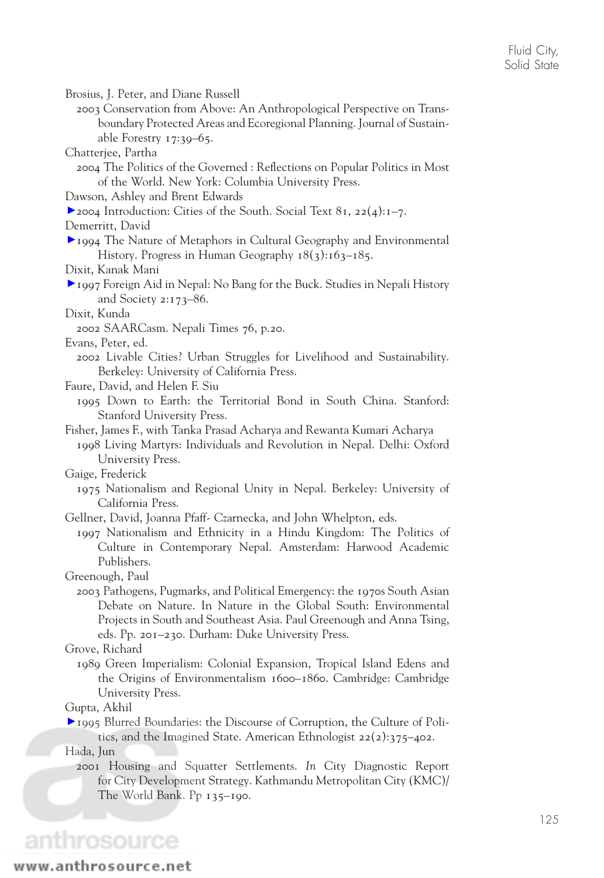Fluid City, Solid State

Brosius, J. Peter, and Diane Russell

2003 Conservation from Above: An Anthropological Perspective on Transboundary Protected Areas and Ecoregional Planning. Journal of Sustainable Forestry 17:39–65.

Chatterjee, Partha

2004 The Politics of the Governed : Reflections on Popular Politics in Most of the World. New York: Columbia University Press.

Dawson, Ashley and Brent Edwards

2004 Introduction: Cities of the South. Social Text 81, 22(4):1–7.

Demerritt, David

1994 The Nature of Metaphors in Cultural Geography and Environmental History. Progress in Human Geography 18(3):163-185.

Dixit, Kanak Mani

1997 Foreign Aid in Nepal: No Bang for the Buck. Studies in Nepali History and Society 2:173–86.

Dixit, Kunda

2002 SAARCasm. Nepali Times 76, p.20.

Evans, Peter, ed.

2002 Livable Cities? Urban Struggles for Livelihood and Sustainability. Berkeley: University of California Press.

Faure, David, and Helen F. Siu

1995 Down to Earth: the Territorial Bond in South China. Stanford: Stanford University Press.

Fisher, James F., with Tanka Prasad Acharya and Rewanta Kumari Acharya 1998 Living Martyrs: Individuals and Revolution in Nepal. Delhi: Oxford University Press.

Gaige, Frederick

1975 Nationalism and Regional Unity in Nepal. Berkeley: University of California Press.

Gellner, David, Joanna Pfaff- Czarnecka, and John Whelpton, eds.

1997 Nationalism and Ethnicity in a Hindu Kingdom: The Politics of Culture in Contemporary Nepal. Amsterdam: Harwood Academic Publishers.

Greenough, Paul

2003 Pathogens, Pugmarks, and Political Emergency: the 1970s South Asian Debate on Nature. In Nature in the Global South: Environmental Projects in South and Southeast Asia. Paul Greenough and Anna Tsing, eds. Pp. 201–230. Durham: Duke University Press.

Grove, Richard

1989 Green Imperialism: Colonial Expansion, Tropical Island Edens and the Origins of Environmentalism 1600–1860. Cambridge: Cambridge University Press.

Gupta, Akhil

1995 Blurred Boundaries: the Discourse of Corruption, the Culture of Politics, and the Imagined State. American Ethnologist 22(2):375–402.

Hada, Jun

2001 Housing and Squatter Settlements. *In* City Diagnostic Report for City Development Strategy. Kathmandu Metropolitan City (KMC)/ The World Bank. Pp 135–190.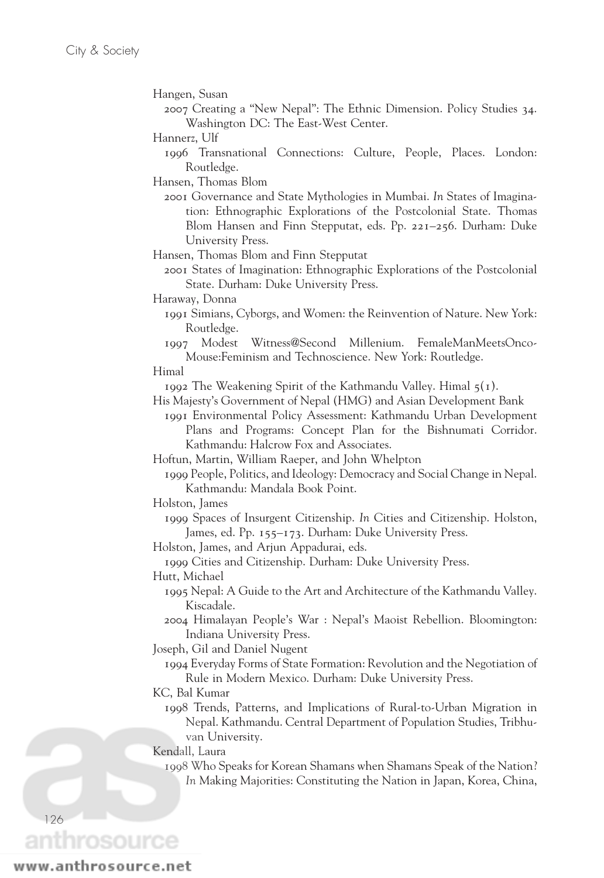Hangen, Susan

2007 Creating a "New Nepal": The Ethnic Dimension. Policy Studies 34. Washington DC: The East-West Center.

Hannerz, Ulf

1996 Transnational Connections: Culture, People, Places. London: Routledge.

Hansen, Thomas Blom

- 2001 Governance and State Mythologies in Mumbai. *In* States of Imagination: Ethnographic Explorations of the Postcolonial State. Thomas Blom Hansen and Finn Stepputat, eds. Pp. 221–256. Durham: Duke University Press.
- Hansen, Thomas Blom and Finn Stepputat

2001 States of Imagination: Ethnographic Explorations of the Postcolonial State. Durham: Duke University Press.

Haraway, Donna

1991 Simians, Cyborgs, and Women: the Reinvention of Nature. New York: Routledge.

1997 Modest Witness@Second Millenium. FemaleManMeetsOnco-Mouse:Feminism and Technoscience. New York: Routledge.

Himal

1992 The Weakening Spirit of the Kathmandu Valley. Himal  $5(1)$ .

His Majesty's Government of Nepal (HMG) and Asian Development Bank

1991 Environmental Policy Assessment: Kathmandu Urban Development Plans and Programs: Concept Plan for the Bishnumati Corridor. Kathmandu: Halcrow Fox and Associates.

Hoftun, Martin, William Raeper, and John Whelpton

1999 People, Politics, and Ideology: Democracy and Social Change in Nepal. Kathmandu: Mandala Book Point.

Holston, James

1999 Spaces of Insurgent Citizenship. *In* Cities and Citizenship. Holston, James, ed. Pp. 155–173. Durham: Duke University Press.

Holston, James, and Arjun Appadurai, eds.

1999 Cities and Citizenship. Durham: Duke University Press.

Hutt, Michael

- 1995 Nepal: A Guide to the Art and Architecture of the Kathmandu Valley. Kiscadale.
- 2004 Himalayan People's War : Nepal's Maoist Rebellion. Bloomington: Indiana University Press.

Joseph, Gil and Daniel Nugent

1994 Everyday Forms of State Formation: Revolution and the Negotiation of Rule in Modern Mexico. Durham: Duke University Press.

KC, Bal Kumar

1998 Trends, Patterns, and Implications of Rural-to-Urban Migration in Nepal. Kathmandu. Central Department of Population Studies, Tribhuvan University.

Kendall, Laura

1998 Who Speaks for Korean Shamans when Shamans Speak of the Nation? *In* Making Majorities: Constituting the Nation in Japan, Korea, China,

126

anthrosource www.anthrosource.net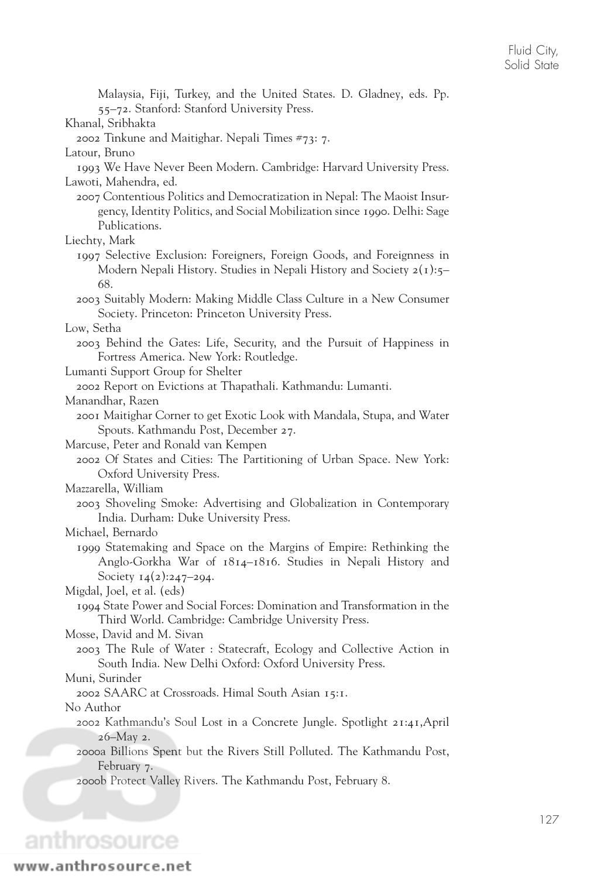Malaysia, Fiji, Turkey, and the United States. D. Gladney, eds. Pp. 55–72. Stanford: Stanford University Press.

2002 Tinkune and Maitighar. Nepali Times #73: 7.

Latour, Bruno

1993 We Have Never Been Modern. Cambridge: Harvard University Press. Lawoti, Mahendra, ed.

2007 Contentious Politics and Democratization in Nepal: The Maoist Insurgency, Identity Politics, and Social Mobilization since 1990. Delhi: Sage Publications.

Liechty, Mark

1997 Selective Exclusion: Foreigners, Foreign Goods, and Foreignness in Modern Nepali History. Studies in Nepali History and Society 2(1):5– 68.

2003 Suitably Modern: Making Middle Class Culture in a New Consumer Society. Princeton: Princeton University Press.

Low, Setha

2003 Behind the Gates: Life, Security, and the Pursuit of Happiness in Fortress America. New York: Routledge.

Lumanti Support Group for Shelter

2002 Report on Evictions at Thapathali. Kathmandu: Lumanti.

Manandhar, Razen

2001 Maitighar Corner to get Exotic Look with Mandala, Stupa, and Water Spouts. Kathmandu Post, December 27.

Marcuse, Peter and Ronald van Kempen

2002 Of States and Cities: The Partitioning of Urban Space. New York: Oxford University Press.

Mazzarella, William

2003 Shoveling Smoke: Advertising and Globalization in Contemporary India. Durham: Duke University Press.

Michael, Bernardo

1999 Statemaking and Space on the Margins of Empire: Rethinking the Anglo-Gorkha War of 1814–1816. Studies in Nepali History and Society 14(2):247-294.

Migdal, Joel, et al. (eds)

1994 State Power and Social Forces: Domination and Transformation in the Third World. Cambridge: Cambridge University Press.

#### Mosse, David and M. Sivan

2003 The Rule of Water : Statecraft, Ecology and Collective Action in South India. New Delhi Oxford: Oxford University Press.

Muni, Surinder

2002 SAARC at Crossroads. Himal South Asian 15:1.

No Author

2002 Kathmandu's Soul Lost in a Concrete Jungle. Spotlight 21:41,April 26–May 2.

2000a Billions Spent but the Rivers Still Polluted. The Kathmandu Post, February 7.

2000b Protect Valley Rivers. The Kathmandu Post, February 8.

# anthrosource

Khanal, Sribhakta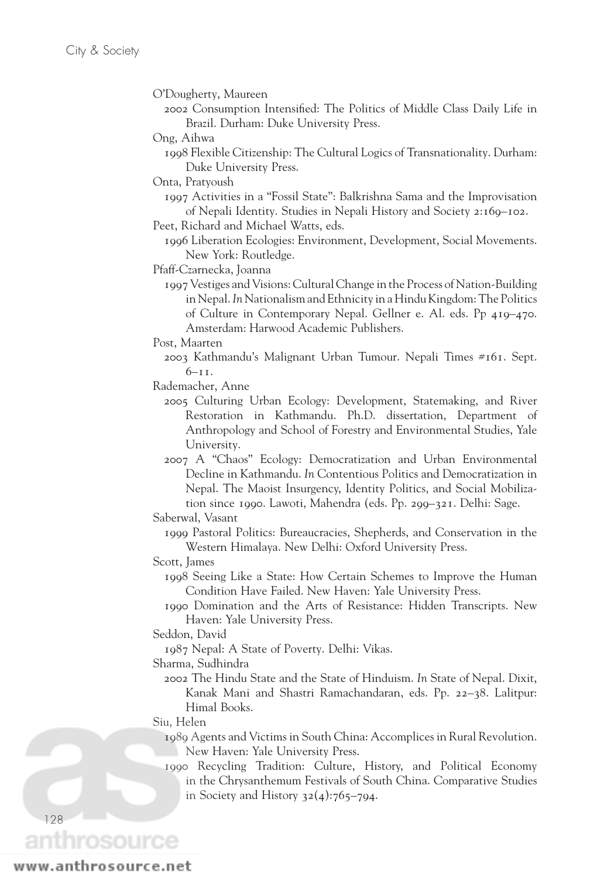O'Dougherty, Maureen

2002 Consumption Intensified: The Politics of Middle Class Daily Life in Brazil. Durham: Duke University Press.

Ong, Aihwa

1998 Flexible Citizenship: The Cultural Logics of Transnationality. Durham: Duke University Press.

Onta, Pratyoush

1997 Activities in a "Fossil State": Balkrishna Sama and the Improvisation of Nepali Identity. Studies in Nepali History and Society 2:169–102.

Peet, Richard and Michael Watts, eds.

1996 Liberation Ecologies: Environment, Development, Social Movements. New York: Routledge.

Pfaff-Czarnecka, Joanna

1997 Vestiges and Visions: Cultural Change in the Process of Nation-Building in Nepal.*In*Nationalism and Ethnicity in a Hindu Kingdom: The Politics of Culture in Contemporary Nepal. Gellner e. Al. eds. Pp 419–470. Amsterdam: Harwood Academic Publishers.

Post, Maarten

2003 Kathmandu's Malignant Urban Tumour. Nepali Times #161. Sept. 6–11.

Rademacher, Anne

2005 Culturing Urban Ecology: Development, Statemaking, and River Restoration in Kathmandu. Ph.D. dissertation, Department of Anthropology and School of Forestry and Environmental Studies, Yale University.

2007 A "Chaos" Ecology: Democratization and Urban Environmental Decline in Kathmandu. *In* Contentious Politics and Democratization in Nepal. The Maoist Insurgency, Identity Politics, and Social Mobilization since 1990. Lawoti, Mahendra (eds. Pp. 299–321. Delhi: Sage.

Saberwal, Vasant

1999 Pastoral Politics: Bureaucracies, Shepherds, and Conservation in the Western Himalaya. New Delhi: Oxford University Press.

Scott, James

- 1998 Seeing Like a State: How Certain Schemes to Improve the Human Condition Have Failed. New Haven: Yale University Press.
- 1990 Domination and the Arts of Resistance: Hidden Transcripts. New Haven: Yale University Press.

Seddon, David

1987 Nepal: A State of Poverty. Delhi: Vikas.

Sharma, Sudhindra

2002 The Hindu State and the State of Hinduism. *In* State of Nepal. Dixit, Kanak Mani and Shastri Ramachandaran, eds. Pp. 22–38. Lalitpur: Himal Books.

Siu, Helen

- 1989 Agents and Victims in South China: Accomplices in Rural Revolution. New Haven: Yale University Press.
- 1990 Recycling Tradition: Culture, History, and Political Economy in the Chrysanthemum Festivals of South China. Comparative Studies in Society and History  $32(4):765-794$ .

128

www.anthrosource.net